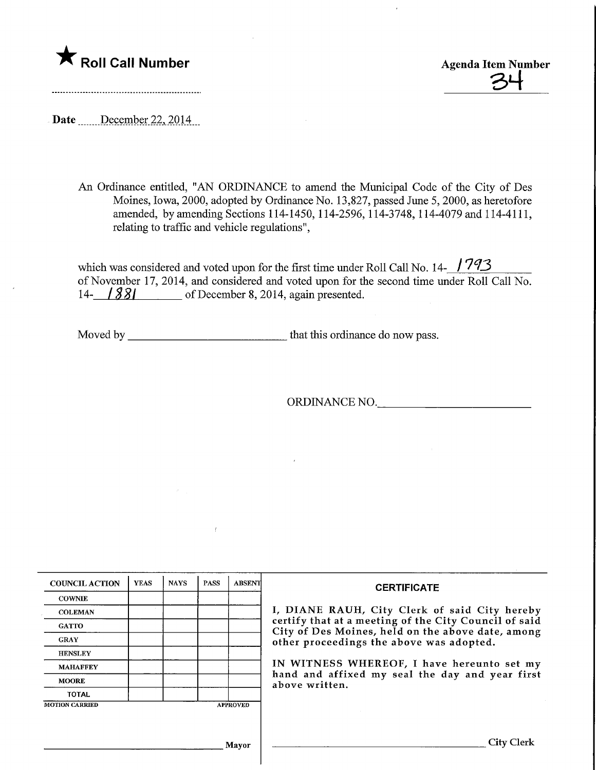

 $\frac{34}{}$ 

Date December 22, 2014

An Ordinance entitled, "AN ORDINANCE to amend the Municipal Code of the City of Des Moines, Iowa, 2000, adopted by Ordinance No. 13,827, passed June 5,2000, as heretofore amended, by amending Sections 114-1450, 114-2596, 114-3748, 114-4079 and 114-4111, relating to traffic and vehicle regulations",

which was considered and voted upon for the first time under Roll Call No. 14- $\frac{1793}{2}$ of November 17, 2014, and considered and voted upon for the second time under Roll Call No. 14- **/ 881** of December 8, 2014, again presented.

Moved by that this ordinance do now pass.

 $\ell$ 

ORDINANCE NO,

| <b>COUNCIL ACTION</b> | <b>YEAS</b> | <b>NAYS</b> | <b>PASS</b> | <b>ABSENT</b>   | <b>CERTIFICATE</b>                                                                                         |
|-----------------------|-------------|-------------|-------------|-----------------|------------------------------------------------------------------------------------------------------------|
| <b>COWNIE</b>         |             |             |             |                 |                                                                                                            |
| <b>COLEMAN</b>        |             |             |             |                 | I, DIANE RAUH, City Clerk of said City hereby                                                              |
| <b>GATTO</b>          |             |             |             |                 | certify that at a meeting of the City Council of said<br>City of Des Moines, held on the above date, among |
| <b>GRAY</b>           |             |             |             |                 | other proceedings the above was adopted.                                                                   |
| <b>HENSLEY</b>        |             |             |             |                 |                                                                                                            |
| <b>MAHAFFEY</b>       |             |             |             |                 | IN WITNESS WHEREOF, I have hereunto set my                                                                 |
| <b>MOORE</b>          |             |             |             |                 | hand and affixed my seal the day and year first<br>above written.                                          |
| <b>TOTAL</b>          |             |             |             |                 |                                                                                                            |
| <b>MOTION CARRIED</b> |             |             |             | <b>APPROVED</b> |                                                                                                            |
|                       |             |             |             |                 |                                                                                                            |
|                       |             |             |             | <b>Mayor</b>    | City Clerl                                                                                                 |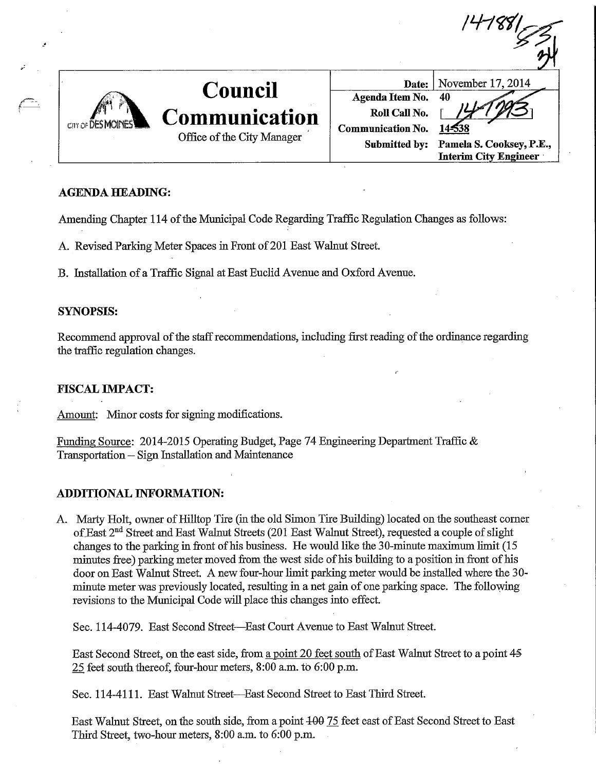| CIIY OF | Council<br>Communication<br>Office of the City Manager | Date:<br>Agenda Item No.<br>Roll Call No.<br><b>Communication No.</b><br>Submitted by: | November 17, 2014<br>40<br>Pamela S. Cooksey, P.E.,<br><b>Interim City Engineer</b> |
|---------|--------------------------------------------------------|----------------------------------------------------------------------------------------|-------------------------------------------------------------------------------------|

 $\mathbf{U}$ ,  $\mathbf{U}$ 

# AGENDA HEADING:

Amending Chapter 114 of the Municipal Code Regarding Traffic Regulation Changes as follows:

A. Revised Parking Meter Spaces in Front of 201 East Walnut Street.

B. Installation of a Traffic Signal at East Euclid Avenue and Oxford Avenue.

## SYNOPSIS:

 $\ell_-$ 

Recommend approval of the staff recommendations, including first reading of the ordinance regarding the traffic regulation changes.

r

## FISCAL IMPACT:

Amount: Minor costs for signing modifications.

Funding Source: 2014-2015 Operating Budget, Page 74 Engineering Department Traffic  $\&$ Transportation - Sign Installation and Maintenance

## ADDITIONAL INFORMATION:

A. Marty Holt, owner of Hilltop Tire (in the old Simon Tire Building) located on the southeast corner of.East 2<sup>nd</sup> Street and East Walnut Streets (201 East Walnut Street), requested a couple of slight changes to the parking in front of his business. He would like the 30-minute maximum limit (15 minutes free) parking meter moved from the west side of his building to a position in front of his door on East Walnut Street. A new four-hour limit parking meter would be installed where the 30minute meter was previously located, resulting in a net gain of one parking space. The following revisions to the Municipal Code will place this changes into effect.

Sec. 114-4079. East Second Street—East Court Avenue to East Walnut Street.

East Second Street, on the east side, from a point 20 feet south of East Walnut Street to a point 45 25 feet south thereof, four-hour meters, 8:00 a.m. to 6:00 p.m.

Sec. 114-4111. East Walnut Street—East Second Street to East Third Street.

East Walnut Street, on the south side, from a point  $100$  75 feet east of East Second Street to East Third Street, two-hour meters, 8:00 a.m. to 6:00 p.m.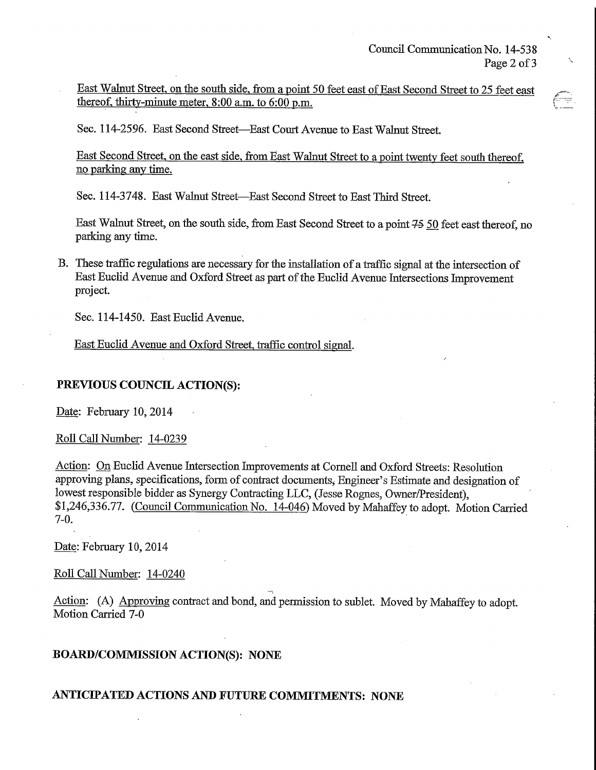East Walnut Street, on the south side, from a point 50 feet east of East Second Street to 25 feet east thereof, thirty-minute meter,  $8:00$  a.m. to  $6:00$  p.m.

Sec. 114-2596. East Second Street—East Court Avenue to East Walnut Street.

East Second Street, on the east side, from East Walnut Street to a point twenty feet south thereof, no parking any time.

Sec. 114-3748. East Walnut Street—East Second Street to East Third Street.

East Walnut Street, on the south side, from East Second Street to a point  $75$  50 feet east thereof, no parking any time.

B. These traffic regulations are necessary for the installation of a traffic signal at the intersection of East Euclid Avenue and Oxford Street as part of the Euclid Avenue Intersections Improvement project.

Sec. 114-1450. East Euclid Avenue.

East Euclid Avenue and Oxford Street, traffic control signal.

## PREVIOUS COUNCIL ACTION(S):

Date: February 10,2014

### Roll Call Number: 14-0239

Action: On Euclid Avenue Intersection Improvements at Cornell and Oxford Streets: Resolution approving plans, specifications, form of contract documents. Engineer's Estimate and designation of lowest responsible bidder as Synergy Contracting LLC, (Jesse Rognes, Owner/President), \$1,246,336.77. (Council Communication No. 14-046) Moved by Mahaffey to adopt. Motion Carried 7-0.

Date: February 10,2014

### Roll Call Number: 14-0240

Action: (A) Approving contract and bond, and permission to sublet. Moved by Mahaffey to adopt. Motion Carried 7-0

## BOARD/COMMISSIONACTION(S): NONE

## ANTICIPATED ACTIONS AND FUTURE COMMITMENTS: NONE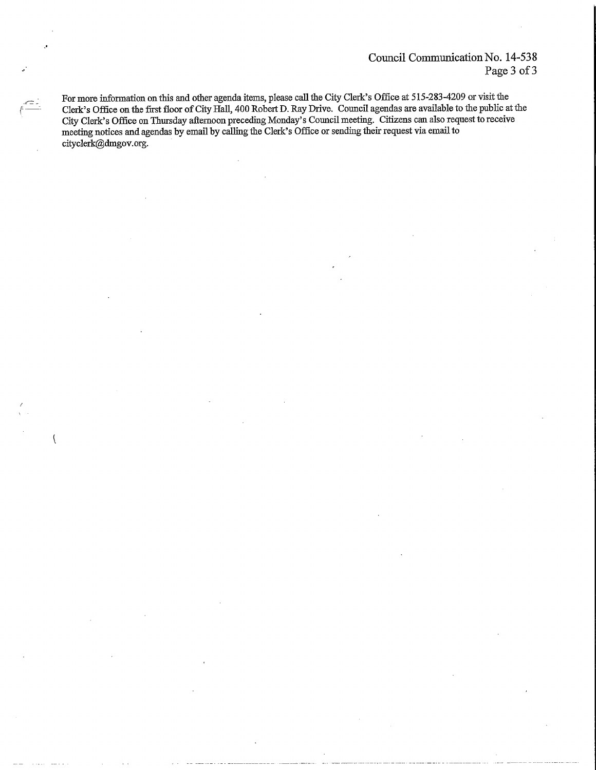For more information on this and other agenda items, please call the City Clerk's Office at 515-283-4209 or visit the Clerk's Office on the first floor of City Hall, 400 Robert D. Ray Drive. Council agendas are available to the public at the City Clerk's Office on Thursday afternoon preceding Monday's Council meeting. Citizens can also request to receive meeting notices and agendas by email by calling the Clerk's Office or sending their request via email to cityclerk@dmgov.org.

 $\overline{\mathcal{L}}$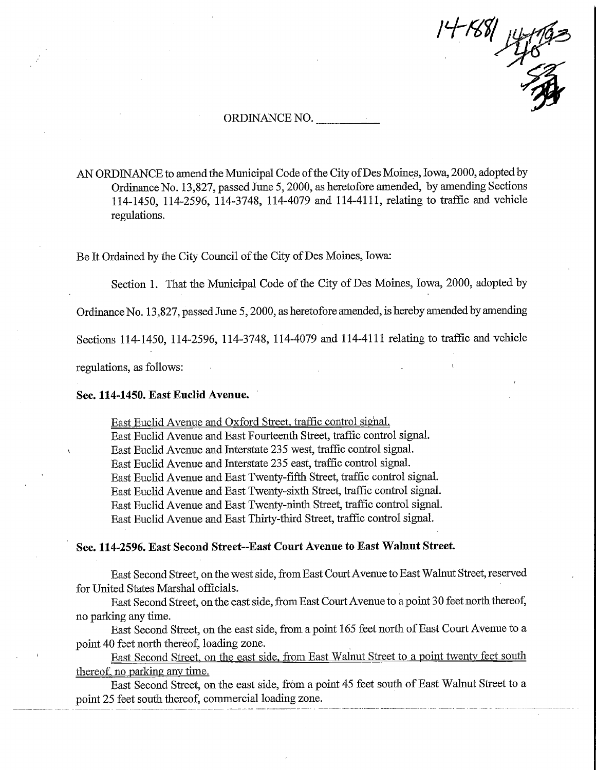$14 - 1881$ Home

#### ORDINANCE NO.

AN ORDINANCE to amend the Municipal Code of the City of Des Moines, Iowa, 2000, adopted by Ordinance No. 13,827, passed June 5,2000, as heretofore amended, by amending Sections 114-1450, 114-2596, 114-3748, 114-4079 and 114-4111, relating to traffic and vehicle regulations.

Be It Ordained by the City Council of the City of Des Moines, Iowa:

Section 1. That the Municipal Code of the City of Des Moines, Iowa, 2000, adopted by

Ordinance No. 13,827, passed June 5,2000, as heretofore amended, is hereby amended by amending

Sections 114-1450, 114-2596, 114-3748, 114-4079 and 114-4111 relating to traffic and vehicle

regulations, as follows:

#### Sec. 114-1450. East Euclid Avenue.

East Euclid Avenue and Oxford Street, traffic control signal.

East Euclid Avenue and East Fourteenth Street, traffic control signal.

East Euclid Avenue and Interstate 235 west, traffic control signal.

East Euclid Avenue and Interstate 235 east, traffic control signal.

East Euclid Avenue and East Twenty-fifth Street, traffic control signal.

East Euclid Avenue and East Twenty-sixfh Street, traffic control signal.

East Euclid Avenue and East Twenty-ninfh Street, traffic control signal.

East Euclid Avenue and East Thirty-third Street, traffic control signal.

#### Sec. 114-2596. East Second Street-East Court Avenue to East Wahmt Street.

East Second Street, on the west side, from East Court Avenue to East Walnut Street, reserved for United States Marshal officials.

East Second Street, on the east side, from East Court Avenue to a point 30 feet north thereof, no parking any time.

East Second Street, on the east side, from a point 165 feet north of East Court Avenue to a point 40 feet north thereof, loading zone.

East Second Street, on the east side, from East Walnut Street to a point twenty feet south thereof, no parking any time.

East Second Street, on the east side, from a point 45 feet south of East Walnut Street to a point 25 feet south thereof, commercial loading zone.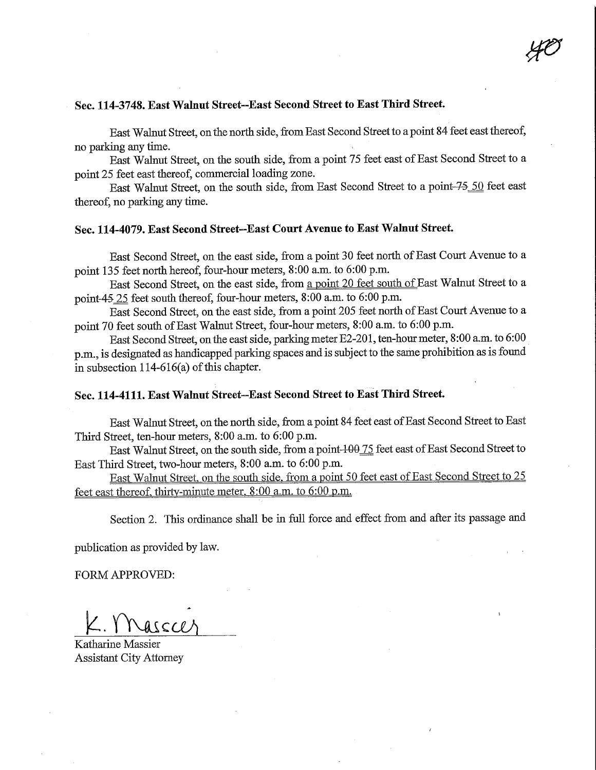# Sec. 114-3748. East Walnut Street-East Second Street to East Third Street.

East Walnut Street, on the north side, from East Second Street to a point 84 feet east thereof, no parking any time.

East Walnut Street, on the south side, from a point 75 feet east of East Second Street to a point 25 feet east thereof, commercial loading zone.

East Walnut Street, on the south side, from East Second Street to a point-75 50 feet east thereof, no parking any time.

# Sec. 114-4079. East Second Street--East Court Avenue to East Walnut Street.

East Second Street, on the east side, from a point 30 feet north of East Court Avenue to a point 135 feet north hereof, four-hour meters, 8:00 a.m. to 6:00 p.m.

East Second Street, on the east side, from a point 20 feet south of East Walnut Street to a point-45 25 feet south thereof, four-hour meters,  $8:00$  a.m. to  $6:00$  p.m.

East Second Street, on the east side, from a point 205 feet north of East Court Avenue to a point 70 feet south of East Walnut Street, four-hour meters, 8:00 a.m. to 6:00 p.m.

East Second Street, on the east side, parking meter E2-201, ten-hour meter, 8:00 a.m. to 6:00 p.m., is designated as handicapped parking spaces and is subject to the same prohibition as is found in subsection 114-616(a) of this chapter.

### Sec. 114-4111. East Walnut Street-East Second Street to East Third Street.

East Walnut Street, on the north side, from a point 84 feet east of East Second Street to East Third Street, ten-hour meters, 8:00 a.m. to 6:00 p.m.

East Walnut Street, on the south side, from a point-100 75 feet east of East Second Street to East Third Street, two-hour meters, 8:00 a.m. to 6:00 p.m.

East Walnut Street, on the south side. from a point 50 feet east of East Second Street to 25 feet east thereof, thirtv-minute meter. 8:00 a.m. to 6:00 o.m.

Section 2. This ordinance shall be in full force and effect from and after its passage and

publication as provided by law.

FORM APPROVED:

 $2. YNasech$ 

Katharine Massier Assistant City Attorney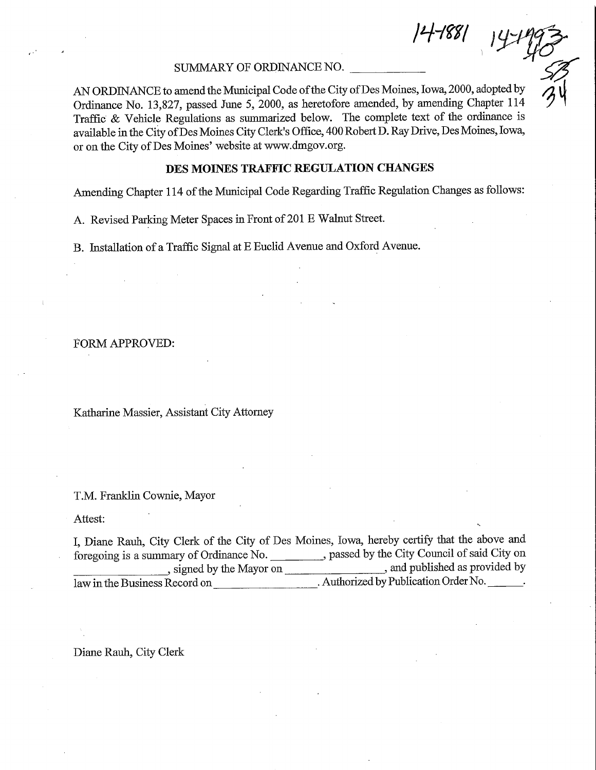4-1881

### SUMMARY OF ORDINANCE NO.

AN ORDINANCE to amend the Municipal Code of the City of Des Moines, Iowa, 2000, adopted by Ordinance No. 13,827, passed June 5, 2000, as heretofore amended, by amending Chapter 114 Traffic & Vehicle Regulations as summarized below. The complete text of the ordinance is available in the City ofDes Moines City Clerk's Office, 400 Robert D. Ray Drive, Des Moines, Iowa, or on the City of Des Moines' website at www.dmgov.org.

### DES MOINES TRAFFIC REGULATION CHANGES

Amending Chapter 114 of fhe Municipal Code Regarding Traffic Regulation Changes as follows:

A. Revised Parking Meter Spaces in Front of 201 E Walnut Street.

B. Listallation of a Traffic Signal at E Euclid Avenue and Oxford Avenue.

### FORM APPROVED:

Katharine Massier, Assistant City Attorney

T.M. Franklin Cownie, Mayor

Attest:

I, Diaae Rauh, City Clerk of the City of Des Moines, Iowa, hereby certify that the above and foregoing is a summary of Ordinance No. \_\_\_\_\_\_\_\_\_, passed by the City Council of said City on , signed by the Mayor on \_\_\_\_\_\_\_\_\_\_\_\_\_\_\_\_\_\_\_\_\_\_, and published as provided by law in the Business Record on \_. Authorized by Publication Order No. \_.

Diane Rauh, City Clerk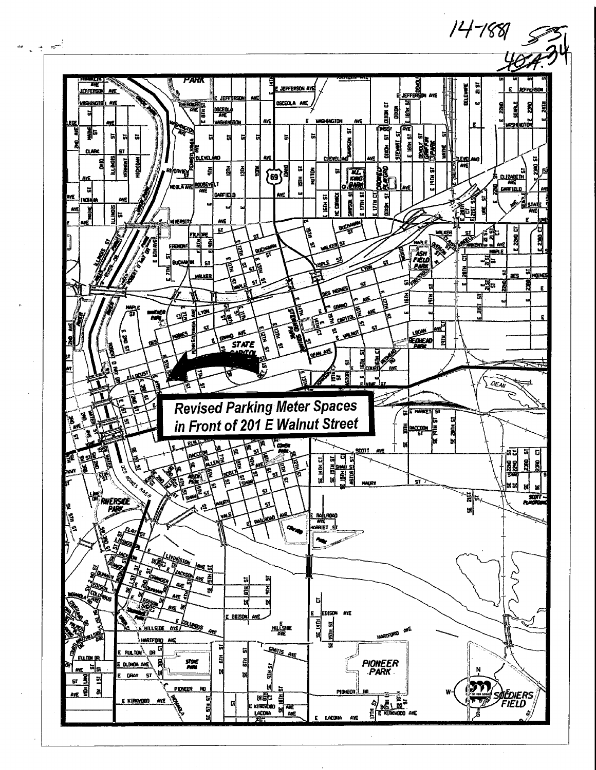